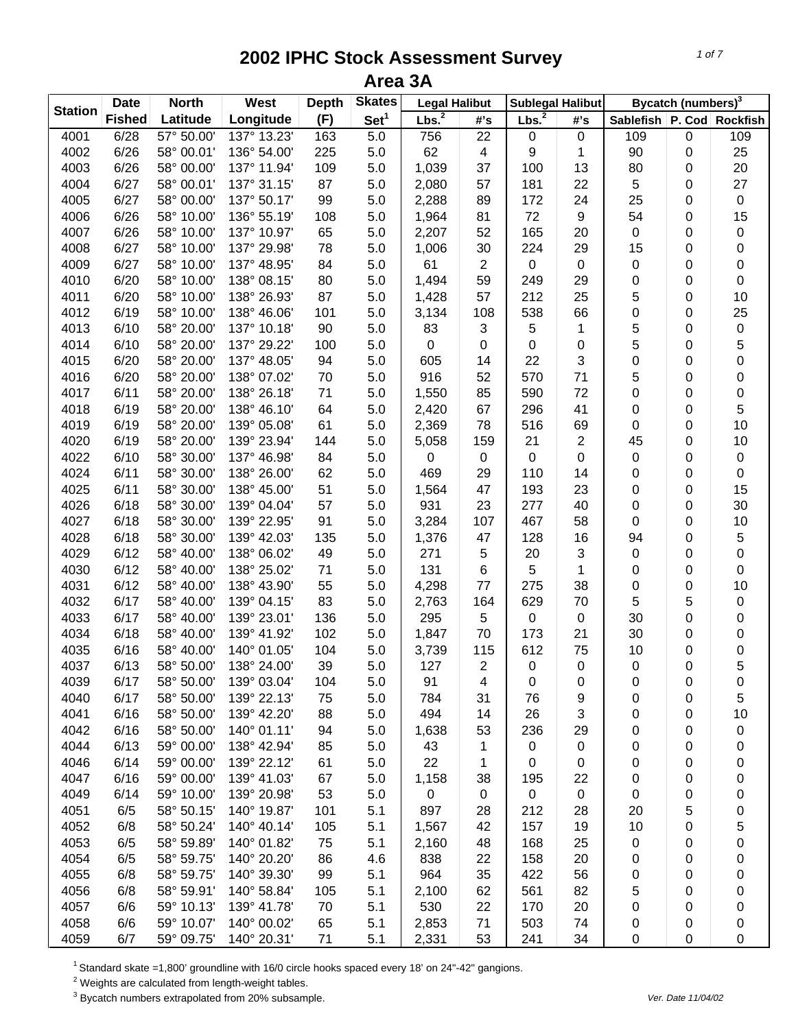|                | <b>Date</b>   | <b>North</b> | West        | <b>Depth</b> | <b>Skates</b>    | <b>Legal Halibut</b> |                | <b>Sublegal Halibut</b> |                |                               | Bycatch (numbers) <sup>3</sup> |             |
|----------------|---------------|--------------|-------------|--------------|------------------|----------------------|----------------|-------------------------|----------------|-------------------------------|--------------------------------|-------------|
| <b>Station</b> | <b>Fished</b> | Latitude     | Longitude   | (F)          | Set <sup>1</sup> | Lbs. <sup>2</sup>    | #'s            | Lbs. <sup>2</sup>       | #'s            | Sablefish   P. Cod   Rockfish |                                |             |
| 4001           | 6/28          | 57° 50.00'   | 137° 13.23' | 163          | 5.0              | 756                  | 22             | 0                       | 0              | 109                           | 0                              | 109         |
| 4002           | 6/26          | 58° 00.01'   | 136° 54.00' | 225          | 5.0              | 62                   | 4              | 9                       | 1              | 90                            | 0                              | 25          |
| 4003           | 6/26          | 58° 00.00'   | 137° 11.94' | 109          | 5.0              | 1,039                | 37             | 100                     | 13             | 80                            | 0                              | 20          |
| 4004           | 6/27          | 58° 00.01'   | 137° 31.15' | 87           | 5.0              | 2,080                | 57             | 181                     | 22             | 5                             | 0                              | 27          |
| 4005           | 6/27          | 58° 00.00'   | 137° 50.17' | 99           | 5.0              | 2,288                | 89             | 172                     | 24             | 25                            | 0                              | $\pmb{0}$   |
| 4006           | 6/26          | 58° 10.00'   | 136° 55.19' | 108          | 5.0              | 1,964                | 81             | 72                      | 9              | 54                            | 0                              | 15          |
| 4007           | 6/26          | 58° 10.00'   | 137° 10.97' | 65           | 5.0              | 2,207                | 52             | 165                     | 20             | 0                             | 0                              | $\pmb{0}$   |
| 4008           | 6/27          | 58° 10.00'   | 137° 29.98' | 78           | 5.0              | 1,006                | 30             | 224                     | 29             | 15                            | 0                              | $\pmb{0}$   |
| 4009           | 6/27          | 58° 10.00'   | 137° 48.95' | 84           | 5.0              | 61                   | $\mathbf{2}$   | 0                       | 0              | 0                             | 0                              | 0           |
| 4010           | 6/20          | 58° 10.00'   | 138° 08.15' | 80           | 5.0              | 1,494                | 59             | 249                     | 29             | 0                             | 0                              | 0           |
| 4011           | 6/20          | 58° 10.00'   | 138° 26.93' | 87           | 5.0              | 1,428                | 57             | 212                     | 25             | 5                             | 0                              | 10          |
| 4012           | 6/19          | 58° 10.00'   | 138° 46.06' | 101          | 5.0              | 3,134                | 108            | 538                     | 66             | 0                             | 0                              | 25          |
| 4013           | 6/10          | 58° 20.00'   | 137° 10.18' | 90           | 5.0              | 83                   | 3              | 5                       | 1              | 5                             | 0                              | 0           |
| 4014           | 6/10          | 58° 20.00'   | 137° 29.22' | 100          | 5.0              | 0                    | 0              | 0                       | 0              | 5                             | 0                              | 5           |
| 4015           | 6/20          | 58° 20.00'   | 137° 48.05' | 94           | 5.0              | 605                  | 14             | 22                      | 3              | 0                             | 0                              | 0           |
| 4016           | 6/20          | 58° 20.00'   | 138° 07.02' | 70           | 5.0              | 916                  | 52             | 570                     | 71             | 5                             | 0                              | 0           |
| 4017           | 6/11          | 58° 20.00'   | 138° 26.18' | 71           | 5.0              | 1,550                | 85             | 590                     | 72             | 0                             | 0                              | 0           |
| 4018           | 6/19          | 58° 20.00'   | 138° 46.10' | 64           | 5.0              | 2,420                | 67             | 296                     | 41             | 0                             | 0                              | 5           |
| 4019           | 6/19          | 58° 20.00'   | 139° 05.08' | 61           | 5.0              | 2,369                | 78             | 516                     | 69             | 0                             | 0                              | 10          |
| 4020           | 6/19          | 58° 20.00'   | 139° 23.94' | 144          | 5.0              | 5,058                | 159            | 21                      | $\overline{c}$ | 45                            | 0                              | 10          |
| 4022           | 6/10          | 58° 30.00'   | 137° 46.98' | 84           | 5.0              | 0                    | $\pmb{0}$      | 0                       | 0              | 0                             | 0                              | $\pmb{0}$   |
| 4024           | 6/11          | 58° 30.00'   | 138° 26.00' | 62           | 5.0              | 469                  | 29             | 110                     | 14             | 0                             | 0                              | $\pmb{0}$   |
| 4025           | 6/11          | 58° 30.00'   | 138° 45.00' | 51           | 5.0              | 1,564                | 47             | 193                     | 23             | 0                             | 0                              | 15          |
| 4026           | 6/18          | 58° 30.00'   | 139° 04.04' | 57           | 5.0              | 931                  | 23             | 277                     | 40             | 0                             | 0                              | 30          |
| 4027           | 6/18          | 58° 30.00'   | 139° 22.95' | 91           | 5.0              | 3,284                | 107            | 467                     | 58             | 0                             | 0                              | 10          |
| 4028           | 6/18          | 58° 30.00'   | 139° 42.03' | 135          | 5.0              | 1,376                | 47             | 128                     | 16             | 94                            | 0                              | 5           |
| 4029           | 6/12          | 58° 40.00'   | 138° 06.02' | 49           | 5.0              | 271                  | 5              | 20                      | 3              | 0                             | 0                              | 0           |
| 4030           | 6/12          | 58° 40.00'   | 138° 25.02' | 71           | 5.0              | 131                  | 6              | 5                       | 1              | 0                             | 0                              | 0           |
| 4031           | 6/12          | 58° 40.00'   | 138° 43.90' | 55           | 5.0              | 4,298                | 77             | 275                     | 38             | 0                             | 0                              | 10          |
| 4032           | 6/17          | 58° 40.00'   | 139° 04.15' | 83           | 5.0              | 2,763                | 164            | 629                     | 70             | 5                             | 5                              | $\pmb{0}$   |
| 4033           | 6/17          | 58° 40.00'   | 139° 23.01' | 136          | 5.0              | 295                  | 5              | 0                       | $\mathbf 0$    | 30                            | 0                              | 0           |
| 4034           | 6/18          | 58° 40.00'   | 139° 41.92' | 102          | 5.0              | 1,847                | 70             | 173                     | 21             | 30                            |                                | 0           |
| 4035           | 6/16          | 58° 40.00'   | 140° 01.05' | 104          | 5.0              | 3,739                | 115            | 612                     | 75             | 10                            | 0<br>0                         | 0           |
| 4037           | 6/13          | 58° 50.00'   | 138° 24.00' | 39           | 5.0              | 127                  | $\overline{2}$ |                         |                | 0                             |                                | 5           |
|                |               |              |             |              |                  |                      |                | 0                       | 0              |                               | 0                              |             |
| 4039<br>4040   | 6/17<br>6/17  | 58° 50.00'   | 139° 03.04' | 104          | 5.0              | 91                   | 4              | 0                       | 0              | 0                             | 0                              | 0           |
|                |               | 58° 50.00'   | 139° 22.13' | 75           | 5.0              | 784                  | 31             | 76                      | 9              | 0                             | 0                              | 5           |
| 4041           | 6/16          | 58° 50.00'   | 139° 42.20' | 88           | 5.0              | 494                  | 14             | 26                      | 3              | 0                             | 0                              | 10          |
| 4042           | 6/16          | 58° 50.00'   | 140° 01.11' | 94           | 5.0              | 1,638                | 53             | 236                     | 29             | 0                             | 0                              | $\pmb{0}$   |
| 4044           | 6/13          | 59° 00.00'   | 138° 42.94' | 85           | 5.0              | 43                   | 1              | 0                       | 0              | 0                             | 0                              | $\pmb{0}$   |
| 4046           | 6/14          | 59° 00.00'   | 139° 22.12' | 61           | 5.0              | 22                   | 1              | 0                       | 0              | 0                             | 0                              | 0           |
| 4047           | 6/16          | 59° 00.00'   | 139° 41.03' | 67           | 5.0              | 1,158                | 38             | 195                     | 22             | 0                             | 0                              | $\pmb{0}$   |
| 4049           | 6/14          | 59° 10.00'   | 139° 20.98' | 53           | 5.0              | $\pmb{0}$            | $\mathbf 0$    | 0                       | 0              | 0                             | 0                              | 0           |
| 4051           | 6/5           | 58° 50.15'   | 140° 19.87' | 101          | 5.1              | 897                  | 28             | 212                     | 28             | 20                            | 5                              | 0           |
| 4052           | 6/8           | 58° 50.24'   | 140° 40.14' | 105          | 5.1              | 1,567                | 42             | 157                     | 19             | 10                            | 0                              | 5           |
| 4053           | 6/5           | 58° 59.89'   | 140° 01.82' | 75           | 5.1              | 2,160                | 48             | 168                     | 25             | 0                             | 0                              | 0           |
| 4054           | 6/5           | 58° 59.75'   | 140° 20.20' | 86           | 4.6              | 838                  | 22             | 158                     | 20             | 0                             | 0                              | 0           |
| 4055           | 6/8           | 58° 59.75'   | 140° 39.30' | 99           | 5.1              | 964                  | 35             | 422                     | 56             | 0                             | 0                              | 0           |
| 4056           | 6/8           | 58° 59.91'   | 140° 58.84' | 105          | 5.1              | 2,100                | 62             | 561                     | 82             | 5                             | 0                              | 0           |
| 4057           | 6/6           | 59° 10.13'   | 139° 41.78' | 70           | 5.1              | 530                  | 22             | 170                     | 20             | 0                             | 0                              | 0           |
| 4058           | 6/6           | 59° 10.07'   | 140° 00.02' | 65           | 5.1              | 2,853                | 71             | 503                     | 74             | 0                             | 0                              | 0           |
| 4059           | 6/7           | 59° 09.75'   | 140° 20.31' | 71           | 5.1              | 2,331                | 53             | 241                     | 34             | 0                             | 0                              | $\mathbf 0$ |

1 Standard skate =1,800' groundline with 16/0 circle hooks spaced every 18' on 24"-42" gangions.

 $2$  Weights are calculated from length-weight tables.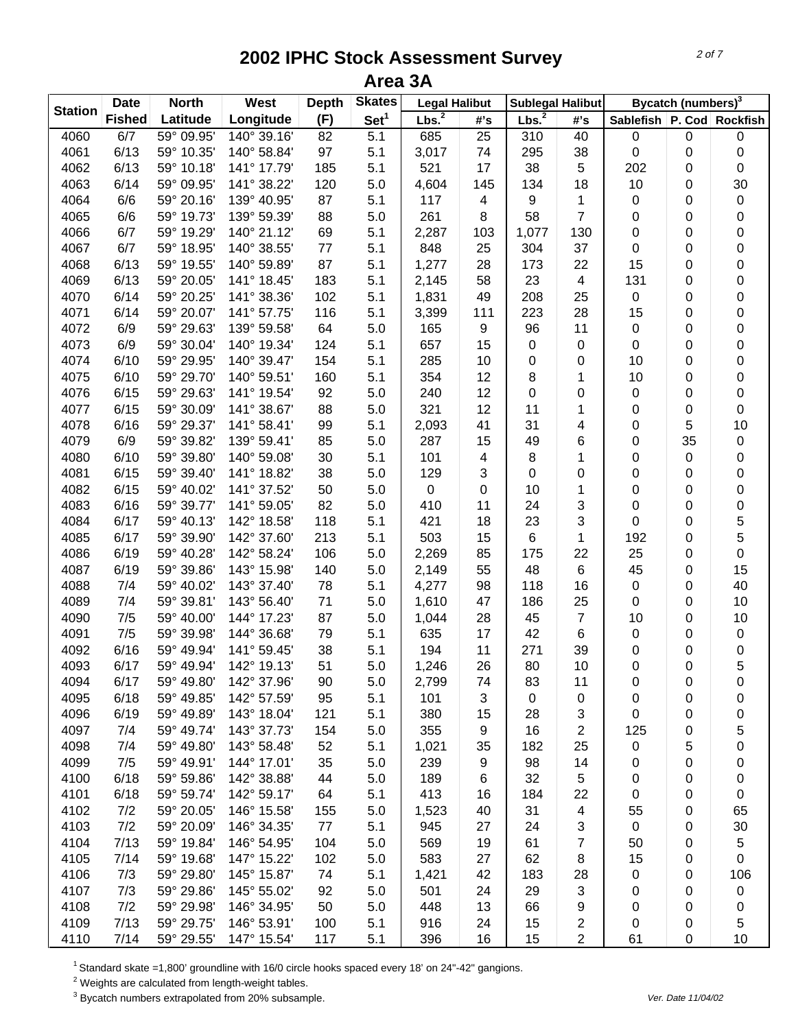| <b>Station</b> | <b>Date</b>   | <b>North</b> | West        | <b>Depth</b> | <b>Skates</b>    | <b>Legal Halibut</b> |                  | <b>Sublegal Halibut</b> |                |                               | Bycatch (numbers) <sup>3</sup> |           |
|----------------|---------------|--------------|-------------|--------------|------------------|----------------------|------------------|-------------------------|----------------|-------------------------------|--------------------------------|-----------|
|                | <b>Fished</b> | Latitude     | Longitude   | (F)          | $\mathbf{Set}^1$ | Lbs. <sup>2</sup>    | #'s              | Lbs. <sup>2</sup>       | #'s            | Sablefish   P. Cod   Rockfish |                                |           |
| 4060           | 6/7           | 59° 09.95'   | 140° 39.16' | 82           | 5.1              | 685                  | 25               | 310                     | 40             | $\pmb{0}$                     | $\pmb{0}$                      | 0         |
| 4061           | 6/13          | 59° 10.35'   | 140° 58.84' | 97           | 5.1              | 3,017                | 74               | 295                     | 38             | 0                             | 0                              | 0         |
| 4062           | 6/13          | 59° 10.18'   | 141° 17.79' | 185          | 5.1              | 521                  | 17               | 38                      | 5              | 202                           | 0                              | 0         |
| 4063           | 6/14          | 59° 09.95'   | 141° 38.22' | 120          | 5.0              | 4,604                | 145              | 134                     | 18             | 10                            | 0                              | 30        |
| 4064           | 6/6           | 59° 20.16'   | 139° 40.95' | 87           | 5.1              | 117                  | 4                | 9                       | 1              | 0                             | 0                              | 0         |
| 4065           | 6/6           | 59° 19.73'   | 139° 59.39' | 88           | 5.0              | 261                  | 8                | 58                      | $\overline{7}$ | 0                             | 0                              | 0         |
| 4066           | 6/7           | 59° 19.29'   | 140° 21.12' | 69           | 5.1              | 2,287                | 103              | 1,077                   | 130            | 0                             | 0                              | 0         |
| 4067           | 6/7           | 59° 18.95'   | 140° 38.55' | 77           | 5.1              | 848                  | 25               | 304                     | 37             | $\pmb{0}$                     | 0                              | 0         |
| 4068           | 6/13          | 59° 19.55'   | 140° 59.89' | 87           | 5.1              | 1,277                | 28               | 173                     | 22             | 15                            | 0                              | 0         |
| 4069           | 6/13          | 59° 20.05'   | 141° 18.45' | 183          | 5.1              | 2,145                | 58               | 23                      | 4              | 131                           | 0                              | 0         |
| 4070           | 6/14          | 59° 20.25'   | 141° 38.36' | 102          | 5.1              | 1,831                | 49               | 208                     | 25             | $\pmb{0}$                     | 0                              | 0         |
| 4071           | 6/14          | 59° 20.07'   | 141° 57.75' | 116          | 5.1              | 3,399                | 111              | 223                     | 28             | 15                            | 0                              | 0         |
| 4072           | 6/9           | 59° 29.63'   | 139° 59.58' | 64           | 5.0              | 165                  | 9                | 96                      | 11             | $\mathbf 0$                   | 0                              | 0         |
| 4073           | 6/9           | 59° 30.04'   | 140° 19.34' | 124          | 5.1              | 657                  | 15               | 0                       | 0              | $\mathbf 0$                   | 0                              | 0         |
| 4074           | 6/10          | 59° 29.95'   | 140° 39.47' | 154          | 5.1              | 285                  | 10               | 0                       | 0              | 10                            | 0                              | 0         |
| 4075           | 6/10          | 59° 29.70'   | 140° 59.51' | 160          | 5.1              | 354                  | 12               | 8                       | 1              | 10                            | 0                              | 0         |
| 4076           | 6/15          | 59° 29.63'   | 141° 19.54' | 92           | 5.0              | 240                  | 12               | 0                       | 0              | $\mathbf 0$                   | 0                              | 0         |
| 4077           | 6/15          | 59° 30.09'   | 141° 38.67' | 88           | 5.0              | 321                  | 12               | 11                      | 1              | 0                             | 0                              | 0         |
| 4078           | 6/16          | 59° 29.37'   | 141° 58.41' | 99           | 5.1              | 2,093                | 41               | 31                      | 4              | 0                             | 5                              | 10        |
| 4079           | 6/9           | 59° 39.82'   | 139° 59.41' | 85           | 5.0              | 287                  | 15               | 49                      | 6              | 0                             | 35                             | 0         |
| 4080           | 6/10          | 59° 39.80'   | 140° 59.08' | 30           | 5.1              | 101                  | 4                | 8                       | 1              | 0                             | 0                              | 0         |
| 4081           | 6/15          | 59° 39.40'   | 141° 18.82' | 38           | 5.0              | 129                  | 3                | 0                       | 0              | 0                             | 0                              | 0         |
| 4082           | 6/15          | 59° 40.02'   | 141° 37.52' | 50           | 5.0              | $\pmb{0}$            | $\boldsymbol{0}$ | 10                      | 1              | 0                             | 0                              | 0         |
| 4083           | 6/16          | 59° 39.77'   | 141° 59.05' | 82           | 5.0              | 410                  | 11               | 24                      | 3              | 0                             | 0                              | 0         |
| 4084           | 6/17          | 59° 40.13'   | 142° 18.58' | 118          | 5.1              | 421                  | 18               | 23                      | 3              | $\pmb{0}$                     | 0                              | 5         |
| 4085           | 6/17          | 59° 39.90'   | 142° 37.60' | 213          | 5.1              | 503                  | 15               | 6                       | $\mathbf{1}$   | 192                           | 0                              | 5         |
| 4086           | 6/19          | 59° 40.28'   | 142° 58.24' | 106          | 5.0              | 2,269                | 85               | 175                     | 22             | 25                            | 0                              | 0         |
| 4087           | 6/19          | 59° 39.86'   | 143° 15.98' | 140          | 5.0              | 2,149                | 55               | 48                      | 6              | 45                            | 0                              | 15        |
| 4088           | 7/4           | 59° 40.02'   | 143° 37.40' | 78           | 5.1              | 4,277                | 98               | 118                     | 16             | $\mathbf 0$                   | 0                              | 40        |
| 4089           | 7/4           | 59° 39.81'   | 143° 56.40' | 71           | 5.0              | 1,610                | 47               | 186                     | 25             | $\mathbf 0$                   | 0                              | 10        |
| 4090           | 7/5           | 59° 40.00'   | 144° 17.23' | 87           | 5.0              | 1,044                | 28               | 45                      | 7              | 10                            | 0                              | 10        |
| 4091           | 7/5           | 59° 39.98'   | 144° 36.68' | 79           | 5.1              | 635                  | 17               | 42                      | 6              | $\mathbf 0$                   | 0                              | 0         |
| 4092           | 6/16          | 59° 49.94'   | 141° 59.45' | 38           | 5.1              | 194                  | 11               | 271                     | 39             | 0                             | 0                              | $\pmb{0}$ |
| 4093           | 6/17          | 59° 49.94'   | 142° 19.13' | 51           | 5.0              | 1,246                | 26               | 80                      | 10             | 0                             | 0                              | 5         |
| 4094           | 6/17          | 59° 49.80'   | 142° 37.96' | 90           | 5.0              | 2,799                | 74               | 83                      | 11             | 0                             | 0                              | 0         |
| 4095           | 6/18          | 59° 49.85'   | 142° 57.59' | 95           | 5.1              | 101                  | 3                | 0                       | 0              | 0                             | 0                              | 0         |
| 4096           | 6/19          | 59° 49.89'   | 143° 18.04' | 121          | 5.1              | 380                  | 15               | 28                      | 3              | 0                             | 0                              | 0         |
| 4097           | 7/4           | 59° 49.74'   | 143° 37.73' | 154          | 5.0              | 355                  | $\boldsymbol{9}$ | 16                      | 2              | 125                           | 0                              | 5         |
| 4098           | 7/4           | 59° 49.80'   | 143° 58.48' | 52           | 5.1              | 1,021                | 35               | 182                     | 25             | 0                             | 5                              | 0         |
| 4099           | 7/5           | 59° 49.91'   | 144° 17.01' | 35           | 5.0              | 239                  | $\boldsymbol{9}$ | 98                      | 14             | 0                             | 0                              | 0         |
| 4100           | 6/18          | 59° 59.86'   | 142° 38.88' | 44           | 5.0              | 189                  | $\,6$            | 32                      | 5              | 0                             | 0                              | 0         |
| 4101           | 6/18          | 59° 59.74'   | 142° 59.17' | 64           | 5.1              | 413                  | 16               | 184                     | 22             | 0                             | 0                              | 0         |
| 4102           | 7/2           | 59° 20.05'   | 146° 15.58' | 155          | 5.0              | 1,523                | 40               | 31                      | 4              | 55                            | 0                              | 65        |
| 4103           | 7/2           | 59° 20.09'   | 146° 34.35' | 77           | 5.1              | 945                  | 27               | 24                      | 3              | $\mathbf 0$                   | 0                              | 30        |
| 4104           | 7/13          | 59° 19.84'   | 146° 54.95' | 104          | 5.0              | 569                  | 19               | 61                      | 7              | 50                            | 0                              | 5         |
| 4105           | 7/14          | 59° 19.68'   | 147° 15.22' | 102          | 5.0              | 583                  | 27               | 62                      | 8              | 15                            | 0                              | 0         |
| 4106           | 7/3           | 59° 29.80'   | 145° 15.87' | 74           | 5.1              | 1,421                | 42               | 183                     | 28             | 0                             |                                | 106       |
| 4107           | 7/3           | 59° 29.86'   | 145° 55.02' | 92           | 5.0              | 501                  | 24               | 29                      | 3              | 0                             | 0<br>0                         | 0         |
| 4108           | 7/2           | 59° 29.98'   | 146° 34.95' | 50           | 5.0              | 448                  | 13               | 66                      | 9              | 0                             | 0                              |           |
| 4109           | 7/13          | 59° 29.75'   | 146° 53.91' | 100          | 5.1              | 916                  | 24               | 15                      | 2              | 0                             | 0                              | 0<br>5    |
| 4110           | 7/14          | 59° 29.55'   | 147° 15.54' | 117          |                  | 396                  | 16               | 15                      | $\overline{2}$ | 61                            | $\pmb{0}$                      | 10        |
|                |               |              |             |              | 5.1              |                      |                  |                         |                |                               |                                |           |

1 Standard skate =1,800' groundline with 16/0 circle hooks spaced every 18' on 24"-42" gangions.

 $2$  Weights are calculated from length-weight tables.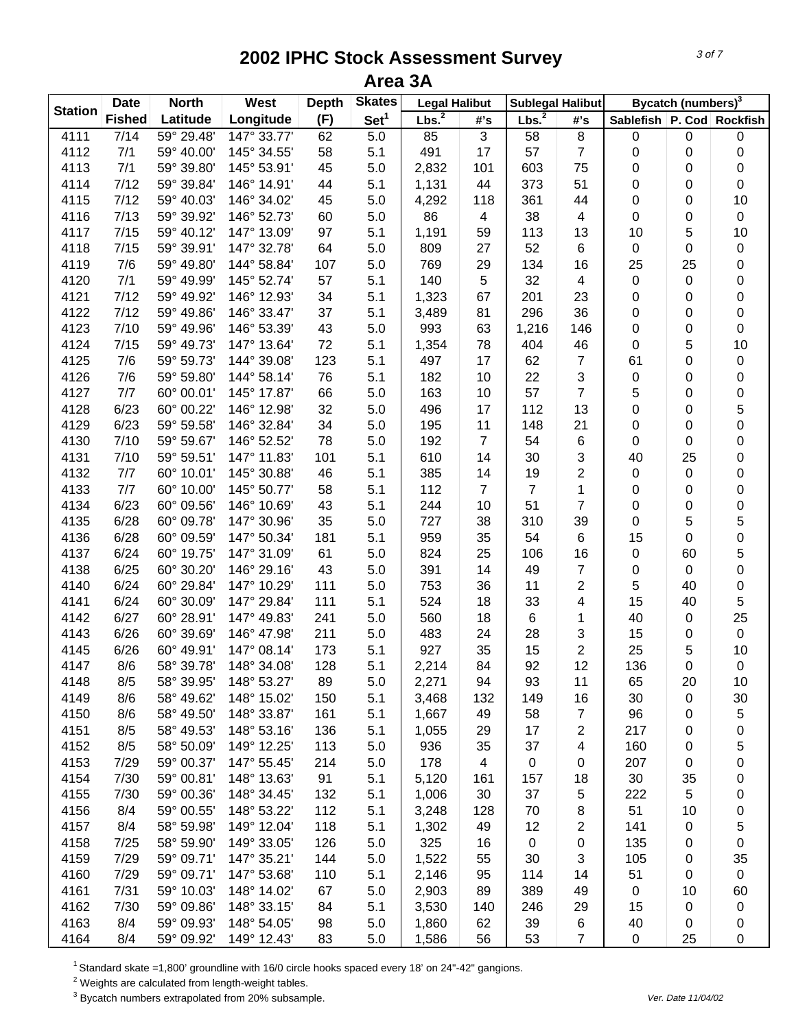|                | <b>Date</b>   | <b>North</b> | West        | <b>Depth</b> | <b>Skates</b>    | <b>Legal Halibut</b> |                | <b>Sublegal Halibut</b> |                |                    | Bycatch (numbers) <sup>3</sup> |                 |
|----------------|---------------|--------------|-------------|--------------|------------------|----------------------|----------------|-------------------------|----------------|--------------------|--------------------------------|-----------------|
| <b>Station</b> | <b>Fished</b> | Latitude     | Longitude   | (F)          | Set <sup>1</sup> | Lbs. <sup>2</sup>    | #'s            | Lbs. <sup>2</sup>       | #'s            | Sablefish   P. Cod |                                | <b>Rockfish</b> |
| 4111           | 7/14          | 59° 29.48'   | 147° 33.77' | 62           | 5.0              | 85                   | $\mathfrak{B}$ | 58                      | $\bf 8$        | 0                  | $\pmb{0}$                      | 0               |
| 4112           | 7/1           | 59° 40.00'   | 145° 34.55' | 58           | 5.1              | 491                  | 17             | 57                      | $\overline{7}$ | 0                  | 0                              | 0               |
| 4113           | 7/1           | 59° 39.80'   | 145° 53.91' | 45           | 5.0              | 2,832                | 101            | 603                     | 75             | 0                  | 0                              | 0               |
| 4114           | 7/12          | 59° 39.84'   | 146° 14.91' | 44           | 5.1              | 1,131                | 44             | 373                     | 51             | 0                  | 0                              | 0               |
| 4115           | 7/12          | 59° 40.03'   | 146° 34.02' | 45           | 5.0              | 4,292                | 118            | 361                     | 44             | 0                  | 0                              | 10              |
| 4116           | 7/13          | 59° 39.92'   | 146° 52.73' | 60           | 5.0              | 86                   | 4              | 38                      | 4              | $\pmb{0}$          | 0                              | $\pmb{0}$       |
| 4117           | 7/15          | 59° 40.12'   | 147° 13.09' | 97           | 5.1              | 1,191                | 59             | 113                     | 13             | 10                 | $\mathbf 5$                    | 10              |
| 4118           | 7/15          | 59° 39.91'   | 147° 32.78' | 64           | 5.0              | 809                  | 27             | 52                      | 6              | $\pmb{0}$          | 0                              | 0               |
| 4119           | 7/6           | 59° 49.80'   | 144° 58.84' | 107          | 5.0              | 769                  | 29             | 134                     | 16             | 25                 | 25                             | 0               |
| 4120           | 7/1           | 59° 49.99'   | 145° 52.74' | 57           | 5.1              | 140                  | 5              | 32                      | 4              | $\pmb{0}$          | 0                              | 0               |
| 4121           | 7/12          | 59° 49.92'   | 146° 12.93' | 34           | 5.1              | 1,323                | 67             | 201                     | 23             | 0                  | 0                              | 0               |
| 4122           | 7/12          | 59° 49.86'   | 146° 33.47' | 37           | 5.1              | 3,489                | 81             | 296                     | 36             | 0                  | 0                              | 0               |
| 4123           | 7/10          | 59° 49.96'   | 146° 53.39' | 43           | 5.0              | 993                  | 63             | 1,216                   | 146            | 0                  | 0                              | 0               |
| 4124           | 7/15          | 59° 49.73'   | 147° 13.64' | 72           | 5.1              | 1,354                | 78             | 404                     | 46             | 0                  | 5                              | 10              |
| 4125           | 7/6           | 59° 59.73'   | 144° 39.08' | 123          | 5.1              | 497                  | 17             | 62                      | 7              | 61                 | 0                              | 0               |
| 4126           | 7/6           | 59° 59.80'   | 144° 58.14' | 76           | 5.1              | 182                  | 10             | 22                      | 3              | 0                  | 0                              | 0               |
| 4127           | 7/7           | 60° 00.01'   | 145° 17.87' | 66           | 5.0              | 163                  | 10             | 57                      | $\overline{7}$ | 5                  | 0                              | 0               |
| 4128           | 6/23          | 60° 00.22'   | 146° 12.98' | 32           | 5.0              | 496                  | 17             | 112                     | 13             | 0                  | 0                              | 5               |
| 4129           | 6/23          | 59° 59.58'   | 146° 32.84' | 34           | 5.0              | 195                  | 11             | 148                     | 21             | 0                  | 0                              | 0               |
| 4130           | 7/10          | 59° 59.67'   | 146° 52.52' | 78           | 5.0              | 192                  | $\overline{7}$ | 54                      | $\,6$          | $\pmb{0}$          | 0                              | 0               |
| 4131           | 7/10          | 59° 59.51'   | 147° 11.83' | 101          | 5.1              | 610                  | 14             | 30                      | 3              | 40                 | 25                             | 0               |
| 4132           | 7/7           | 60° 10.01'   | 145° 30.88' | 46           | 5.1              | 385                  | 14             | 19                      | $\overline{2}$ | $\pmb{0}$          | 0                              | 0               |
| 4133           | 7/7           | 60° 10.00'   | 145° 50.77' | 58           | 5.1              | 112                  | $\overline{7}$ | $\overline{7}$          | $\mathbf{1}$   | 0                  | 0                              | 0               |
| 4134           | 6/23          | 60° 09.56'   | 146° 10.69' | 43           | 5.1              | 244                  | 10             | 51                      | $\overline{7}$ | 0                  | 0                              | 0               |
| 4135           | 6/28          | 60° 09.78'   | 147° 30.96' | 35           | 5.0              | 727                  | 38             | 310                     | 39             | $\pmb{0}$          | 5                              | 5               |
| 4136           | 6/28          | 60° 09.59'   | 147° 50.34' | 181          | 5.1              | 959                  | 35             | 54                      | 6              | 15                 | 0                              | $\mathbf 0$     |
| 4137           | 6/24          | 60° 19.75'   | 147° 31.09' | 61           | 5.0              | 824                  | 25             | 106                     | 16             | $\pmb{0}$          | 60                             | 5               |
| 4138           | 6/25          | 60° 30.20'   | 146° 29.16' | 43           | 5.0              | 391                  | 14             | 49                      | 7              | 0                  | 0                              | 0               |
| 4140           | 6/24          | 60° 29.84'   | 147° 10.29' | 111          | 5.0              | 753                  | 36             | 11                      | $\overline{c}$ | 5                  | 40                             | 0               |
| 4141           | 6/24          | 60° 30.09'   | 147° 29.84' | 111          | 5.1              | 524                  | 18             | 33                      | 4              | 15                 | 40                             | 5               |
| 4142           | 6/27          | 60° 28.91'   | 147° 49.83' | 241          | 5.0              | 560                  | 18             | 6                       | 1              | 40                 | $\mathbf 0$                    | 25              |
| 4143           | 6/26          | 60° 39.69'   | 146° 47.98' | 211          | 5.0              | 483                  | 24             | 28                      | 3              | 15                 | 0                              | $\pmb{0}$       |
| 4145           | 6/26          | 60° 49.91'   | 147° 08.14' | 173          | 5.1              | 927                  | 35             | 15                      | 2              | 25                 | 5                              | 10              |
| 4147           | 8/6           | 58° 39.78'   | 148° 34.08' | 128          | 5.1              | 2,214                | 84             | 92                      | 12             | 136                | 0                              | $\mathbf 0$     |
| 4148           | 8/5           | 58° 39.95'   | 148° 53.27' | 89           | 5.0              | 2,271                | 94             | 93                      | 11             | 65                 | 20                             | 10              |
| 4149           | 8/6           | 58° 49.62'   | 148° 15.02' | 150          | 5.1              | 3,468                | 132            | 149                     | 16             | 30                 | 0                              | 30              |
| 4150           | 8/6           | 58° 49.50'   | 148° 33.87' | 161          | 5.1              | 1,667                | 49             | 58                      | $\overline{7}$ | 96                 | 0                              | 5               |
| 4151           | 8/5           | 58° 49.53'   | 148° 53.16' | 136          | 5.1              | 1,055                | 29             | 17                      | 2              | 217                | 0                              | 0               |
| 4152           | 8/5           | 58° 50.09'   | 149° 12.25' | 113          | 5.0              | 936                  | 35             | 37                      | 4              | 160                | 0                              | 5               |
| 4153           | 7/29          | 59° 00.37'   | 147° 55.45' | 214          | 5.0              | 178                  | $\overline{4}$ | $\pmb{0}$               | 0              | 207                | 0                              | 0               |
| 4154           | 7/30          | 59° 00.81'   | 148° 13.63' | 91           | 5.1              | 5,120                | 161            | 157                     | 18             | 30                 | 35                             | 0               |
| 4155           | 7/30          | 59° 00.36'   | 148° 34.45' | 132          | 5.1              | 1,006                | 30             | 37                      | 5              | 222                | 5                              | 0               |
| 4156           | 8/4           | 59° 00.55'   | 148° 53.22' | 112          | 5.1              | 3,248                | 128            | 70                      | 8              | 51                 | 10                             |                 |
| 4157           | 8/4           | 58° 59.98'   | 149° 12.04' | 118          | 5.1              | 1,302                | 49             | 12                      | 2              | 141                | 0                              | 0<br>5          |
| 4158           | 7/25          | 58° 59.90'   | 149° 33.05' | 126          | 5.0              | 325                  | 16             |                         | 0              | 135                | 0                              | 0               |
| 4159           | 7/29          | 59° 09.71'   | 147° 35.21' | 144          |                  |                      | 55             | 0<br>30                 | 3              | 105                |                                |                 |
|                |               | 59° 09.71'   |             |              | 5.0              | 1,522                |                |                         |                |                    | 0                              | 35              |
| 4160           | 7/29          |              | 147° 53.68' | 110          | 5.1              | 2,146                | 95             | 114                     | 14             | 51                 | 0                              | 0               |
| 4161           | 7/31          | 59° 10.03'   | 148° 14.02' | 67           | 5.0              | 2,903                | 89             | 389                     | 49             | 0                  | 10                             | 60              |
| 4162           | 7/30          | 59° 09.86'   | 148° 33.15' | 84           | 5.1              | 3,530                | 140            | 246                     | 29             | 15                 | 0                              | 0               |
| 4163           | 8/4           | 59° 09.93'   | 148° 54.05' | 98           | 5.0              | 1,860                | 62             | 39                      | 6              | 40                 | 0                              | 0               |
| 4164           | 8/4           | 59° 09.92'   | 149° 12.43' | 83           | 5.0              | 1,586                | 56             | 53                      | $\overline{7}$ | $\pmb{0}$          | 25                             | 0               |

1 Standard skate =1,800' groundline with 16/0 circle hooks spaced every 18' on 24"-42" gangions.

 $2$  Weights are calculated from length-weight tables.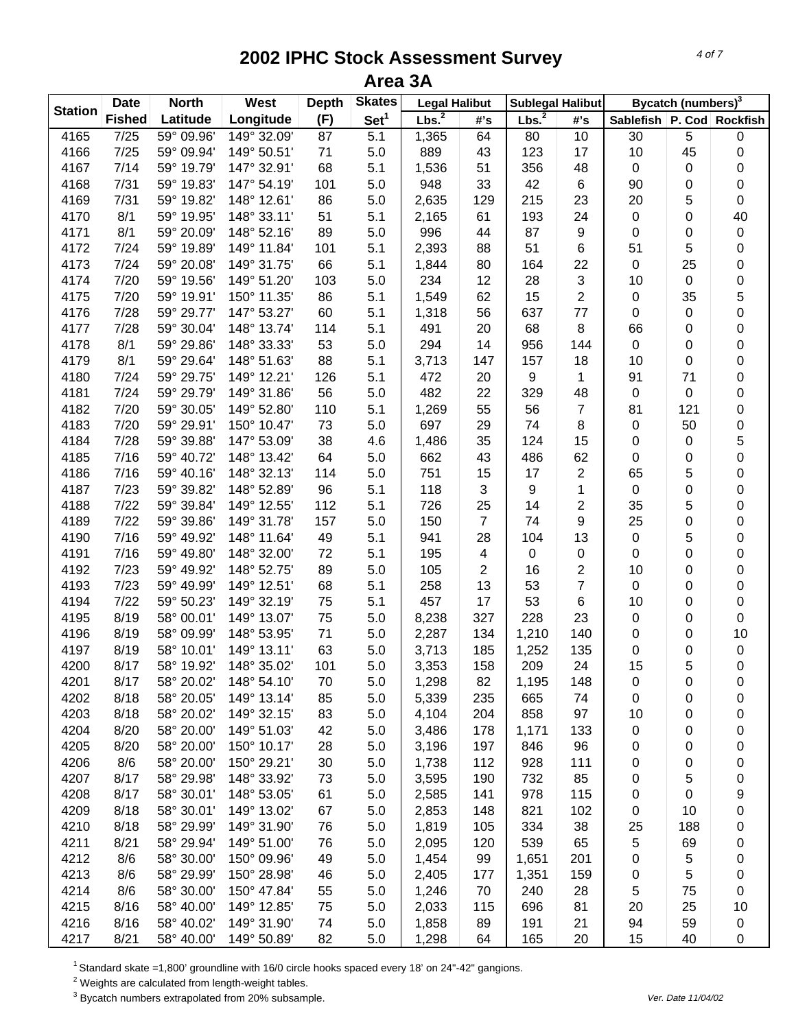| <b>Station</b> | <b>Date</b>   | <b>North</b> | West        | <b>Depth</b> | <b>Skates</b>    | <b>Legal Halibut</b> |                         | <b>Sublegal Halibut</b> |                |                               | Bycatch (numbers) <sup>3</sup> |             |
|----------------|---------------|--------------|-------------|--------------|------------------|----------------------|-------------------------|-------------------------|----------------|-------------------------------|--------------------------------|-------------|
|                | <b>Fished</b> | Latitude     | Longitude   | (F)          | Set <sup>1</sup> | Lbs. $^2$            | #'s                     | Lbs. <sup>2</sup>       | #'s            | Sablefish   P. Cod   Rockfish |                                |             |
| 4165           | 7/25          | 59° 09.96'   | 149° 32.09' | 87           | 5.1              | 1,365                | 64                      | 80                      | 10             | 30                            | 5                              | 0           |
| 4166           | 7/25          | 59° 09.94'   | 149° 50.51' | 71           | 5.0              | 889                  | 43                      | 123                     | 17             | 10                            | 45                             | 0           |
| 4167           | 7/14          | 59° 19.79'   | 147° 32.91' | 68           | 5.1              | 1,536                | 51                      | 356                     | 48             | $\pmb{0}$                     | 0                              | 0           |
| 4168           | 7/31          | 59° 19.83'   | 147° 54.19' | 101          | 5.0              | 948                  | 33                      | 42                      | 6              | 90                            | 0                              | 0           |
| 4169           | 7/31          | 59° 19.82'   | 148° 12.61' | 86           | 5.0              | 2,635                | 129                     | 215                     | 23             | 20                            | 5                              | 0           |
| 4170           | 8/1           | 59° 19.95'   | 148° 33.11' | 51           | 5.1              | 2,165                | 61                      | 193                     | 24             | $\pmb{0}$                     | 0                              | 40          |
| 4171           | 8/1           | 59° 20.09'   | 148° 52.16' | 89           | 5.0              | 996                  | 44                      | 87                      | 9              | $\pmb{0}$                     | 0                              | 0           |
| 4172           | 7/24          | 59° 19.89'   | 149° 11.84' | 101          | 5.1              | 2,393                | 88                      | 51                      | 6              | 51                            | 5                              | 0           |
| 4173           | 7/24          | 59° 20.08'   | 149° 31.75' | 66           | 5.1              | 1,844                | 80                      | 164                     | 22             | $\pmb{0}$                     | 25                             | 0           |
| 4174           | 7/20          | 59° 19.56'   | 149° 51.20' | 103          | 5.0              | 234                  | 12                      | 28                      | 3              | 10                            | 0                              | 0           |
| 4175           | 7/20          | 59° 19.91'   | 150° 11.35' | 86           | 5.1              | 1,549                | 62                      | 15                      | $\overline{c}$ | 0                             | 35                             | 5           |
| 4176           | 7/28          | 59° 29.77'   | 147° 53.27' | 60           | 5.1              | 1,318                | 56                      | 637                     | 77             | 0                             | 0                              | 0           |
| 4177           | 7/28          | 59° 30.04'   | 148° 13.74' | 114          | 5.1              | 491                  | 20                      | 68                      | 8              | 66                            | 0                              | 0           |
| 4178           | 8/1           | 59° 29.86'   | 148° 33.33' | 53           | 5.0              | 294                  | 14                      | 956                     | 144            | $\pmb{0}$                     | 0                              | 0           |
| 4179           | 8/1           | 59° 29.64'   | 148° 51.63' | 88           | 5.1              | 3,713                | 147                     | 157                     | 18             | 10                            | 0                              | 0           |
| 4180           | 7/24          | 59° 29.75'   | 149° 12.21' | 126          | 5.1              | 472                  | 20                      | 9                       | 1              | 91                            | 71                             | 0           |
| 4181           | 7/24          | 59° 29.79'   | 149° 31.86' | 56           | 5.0              | 482                  | 22                      | 329                     | 48             | $\pmb{0}$                     | 0                              | 0           |
| 4182           | 7/20          | 59° 30.05'   | 149° 52.80' | 110          | 5.1              | 1,269                | 55                      | 56                      | $\overline{7}$ | 81                            | 121                            | 0           |
| 4183           | 7/20          | 59° 29.91'   | 150° 10.47' | 73           | 5.0              | 697                  | 29                      | 74                      | 8              | 0                             | 50                             | 0           |
| 4184           | 7/28          | 59° 39.88'   | 147° 53.09' | 38           | 4.6              | 1,486                | 35                      | 124                     | 15             | 0                             | 0                              | 5           |
| 4185           | 7/16          | 59° 40.72'   | 148° 13.42' | 64           | 5.0              | 662                  | 43                      | 486                     | 62             | 0                             | 0                              | 0           |
| 4186           | 7/16          | 59° 40.16'   | 148° 32.13' | 114          | 5.0              | 751                  | 15                      | 17                      | 2              | 65                            | 5                              | 0           |
| 4187           | 7/23          | 59° 39.82'   | 148° 52.89' | 96           | 5.1              | 118                  | 3                       | 9                       | 1              | $\pmb{0}$                     | 0                              | 0           |
| 4188           | 7/22          | 59° 39.84'   | 149° 12.55' | 112          | 5.1              | 726                  | 25                      | 14                      | $\overline{2}$ | 35                            | 5                              | 0           |
| 4189           | 7/22          | 59° 39.86'   | 149° 31.78' | 157          | 5.0              | 150                  | $\overline{7}$          | 74                      | 9              | 25                            | 0                              | 0           |
| 4190           | 7/16          | 59° 49.92'   | 148° 11.64' | 49           | 5.1              | 941                  | 28                      | 104                     | 13             | $\pmb{0}$                     | 5                              | 0           |
| 4191           | 7/16          | 59° 49.80'   | 148° 32.00' | 72           | 5.1              | 195                  | $\overline{\mathbf{4}}$ | 0                       | 0              | $\pmb{0}$                     | 0                              | 0           |
| 4192           | 7/23          | 59° 49.92'   | 148° 52.75' | 89           | 5.0              | 105                  | 2                       | 16                      | 2              | 10                            | 0                              | 0           |
| 4193           | 7/23          | 59° 49.99'   | 149° 12.51' | 68           | 5.1              | 258                  | 13                      | 53                      | $\overline{7}$ | $\pmb{0}$                     | 0                              | 0           |
| 4194           | 7/22          | 59° 50.23'   | 149° 32.19' | 75           | 5.1              | 457                  | 17                      | 53                      | 6              | 10                            | 0                              | 0           |
| 4195           | 8/19          | 58° 00.01'   | 149° 13.07' | 75           | 5.0              | 8,238                | 327                     | 228                     | 23             | 0                             | 0                              | 0           |
| 4196           | 8/19          | 58° 09.99'   | 148° 53.95' | 71           | 5.0              | 2,287                | 134                     | 1,210                   | 140            | 0                             | 0                              | 10          |
| 4197           | 8/19          | 58° 10.01'   | 149° 13.11' | 63           | 5.0              | 3,713                | 185                     | 1,252                   | 135            | 0                             | 0                              | $\pmb{0}$   |
| 4200           | 8/17          | 58° 19.92'   | 148° 35.02' | 101          | 5.0              | 3,353                | 158                     | 209                     | 24             | 15                            | 5                              | $\mathbf 0$ |
| 4201           | 8/17          | 58° 20.02'   | 148° 54.10' | 70           | 5.0              | 1,298                | 82                      | 1,195                   | 148            | 0                             | 0                              | 0           |
| 4202           | 8/18          | 58° 20.05'   | 149° 13.14' | 85           | 5.0              | 5,339                | 235                     | 665                     | 74             | 0                             | 0                              | 0           |
| 4203           | 8/18          | 58° 20.02'   | 149° 32.15' | 83           | 5.0              | 4,104                | 204                     | 858                     | 97             | 10                            | 0                              | 0           |
| 4204           | 8/20          | 58° 20.00'   | 149° 51.03' | 42           | 5.0              | 3,486                | 178                     | 1,171                   | 133            | 0                             | 0                              | 0           |
| 4205           | 8/20          | 58° 20.00'   | 150° 10.17' | 28           | 5.0              | 3,196                | 197                     | 846                     | 96             | 0                             | 0                              | 0           |
| 4206           | 8/6           | 58° 20.00'   | 150° 29.21' | 30           | 5.0              | 1,738                | 112                     | 928                     | 111            | 0                             | 0                              | 0           |
| 4207           | 8/17          | 58° 29.98'   | 148° 33.92' | 73           | 5.0              | 3,595                | 190                     | 732                     | 85             | 0                             | 5                              | 0           |
| 4208           | 8/17          | 58° 30.01'   | 148° 53.05' | 61           | 5.0              | 2,585                | 141                     | 978                     | 115            | 0                             | 0                              | 9           |
| 4209           | 8/18          | 58° 30.01'   | 149° 13.02' | 67           | 5.0              | 2,853                | 148                     | 821                     | 102            | 0                             | 10                             | 0           |
| 4210           | 8/18          | 58° 29.99'   | 149° 31.90' | 76           | 5.0              | 1,819                | 105                     | 334                     | 38             | 25                            | 188                            | 0           |
| 4211           | 8/21          | 58° 29.94'   | 149° 51.00' | 76           | 5.0              | 2,095                | 120                     | 539                     | 65             | 5                             | 69                             | 0           |
| 4212           | 8/6           | 58° 30.00'   | 150° 09.96' | 49           | 5.0              | 1,454                | 99                      | 1,651                   | 201            | 0                             | 5                              | 0           |
| 4213           | 8/6           | 58° 29.99'   | 150° 28.98' | 46           | 5.0              | 2,405                | 177                     | 1,351                   | 159            | 0                             | 5                              | 0           |
| 4214           | 8/6           | 58° 30.00'   | 150° 47.84' | 55           | 5.0              | 1,246                | 70                      | 240                     | 28             | 5                             | 75                             | 0           |
| 4215           | 8/16          | 58° 40.00'   | 149° 12.85' | 75           | 5.0              | 2,033                | 115                     | 696                     | 81             | 20                            | 25                             | 10          |
| 4216           | 8/16          | 58° 40.02'   | 149° 31.90' | 74           | 5.0              | 1,858                | 89                      | 191                     | 21             | 94                            | 59                             | 0           |
| 4217           | 8/21          | 58° 40.00'   | 149° 50.89' | 82           | 5.0              | 1,298                | 64                      | 165                     | 20             | 15                            | 40                             | 0           |

1 Standard skate =1,800' groundline with 16/0 circle hooks spaced every 18' on 24"-42" gangions.

 $2$  Weights are calculated from length-weight tables.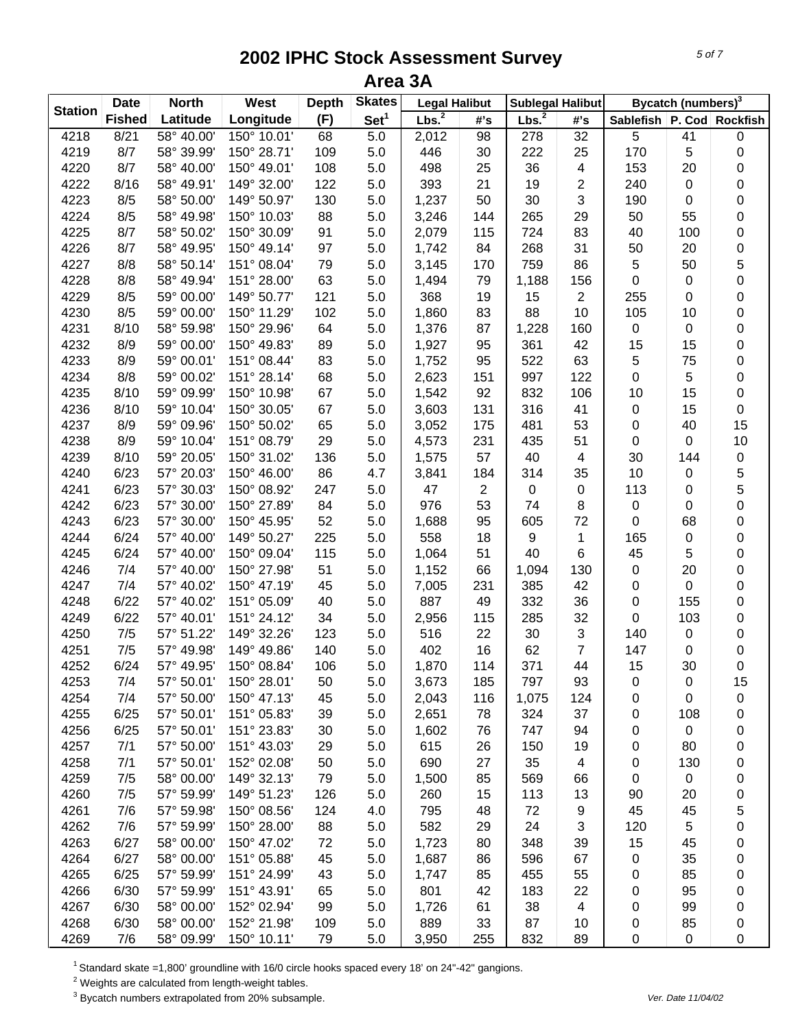|                | <b>Date</b>   | <b>North</b> | West        | <b>Depth</b> | <b>Skates</b>    | <b>Legal Halibut</b> |                | <b>Sublegal Halibut</b> |     |                               | Bycatch (numbers) <sup>3</sup> |             |
|----------------|---------------|--------------|-------------|--------------|------------------|----------------------|----------------|-------------------------|-----|-------------------------------|--------------------------------|-------------|
| <b>Station</b> | <b>Fished</b> | Latitude     | Longitude   | (F)          | Set <sup>1</sup> | Lbs. $^2$            | #'s            | Lbs. $^2$               | #'s | Sablefish   P. Cod   Rockfish |                                |             |
| 4218           | 8/21          | 58° 40.00'   | 150° 10.01' | 68           | $\overline{5.0}$ | 2,012                | 98             | 278                     | 32  | 5                             | 41                             | 0           |
| 4219           | 8/7           | 58° 39.99'   | 150° 28.71' | 109          | 5.0              | 446                  | 30             | 222                     | 25  | 170                           | 5                              | 0           |
| 4220           | 8/7           | 58° 40.00'   | 150° 49.01' | 108          | 5.0              | 498                  | 25             | 36                      | 4   | 153                           | 20                             | 0           |
| 4222           | 8/16          | 58° 49.91'   | 149° 32.00' | 122          | 5.0              | 393                  | 21             | 19                      | 2   | 240                           | 0                              | 0           |
| 4223           | 8/5           | 58° 50.00'   | 149° 50.97' | 130          | 5.0              | 1,237                | 50             | 30                      | 3   | 190                           | 0                              | 0           |
| 4224           | 8/5           | 58° 49.98'   | 150° 10.03' | 88           | 5.0              | 3,246                | 144            | 265                     | 29  | 50                            | 55                             | 0           |
| 4225           | 8/7           | 58° 50.02'   | 150° 30.09' | 91           | 5.0              | 2,079                | 115            | 724                     | 83  | 40                            | 100                            | 0           |
| 4226           | 8/7           | 58° 49.95'   | 150° 49.14' | 97           | 5.0              | 1,742                | 84             | 268                     | 31  | 50                            | 20                             | 0           |
| 4227           | 8/8           | 58° 50.14'   | 151° 08.04' | 79           | 5.0              | 3,145                | 170            | 759                     | 86  | 5                             | 50                             | 5           |
| 4228           | 8/8           | 58° 49.94'   | 151° 28.00' | 63           | 5.0              | 1,494                | 79             | 1,188                   | 156 | $\pmb{0}$                     | 0                              | 0           |
| 4229           | 8/5           | 59° 00.00'   | 149° 50.77' | 121          | 5.0              | 368                  | 19             | 15                      | 2   | 255                           | 0                              | 0           |
| 4230           | 8/5           | 59° 00.00'   | 150° 11.29' | 102          | 5.0              | 1,860                | 83             | 88                      | 10  | 105                           | 10                             | 0           |
| 4231           | 8/10          | 58° 59.98'   | 150° 29.96' | 64           | 5.0              | 1,376                | 87             | 1,228                   | 160 | $\pmb{0}$                     | 0                              | 0           |
| 4232           | 8/9           | 59° 00.00'   | 150° 49.83' | 89           | 5.0              | 1,927                | 95             | 361                     | 42  | 15                            | 15                             | 0           |
| 4233           | 8/9           | 59° 00.01'   | 151° 08.44' | 83           | 5.0              | 1,752                | 95             | 522                     | 63  | 5                             | 75                             | 0           |
| 4234           | 8/8           | 59° 00.02'   | 151° 28.14' | 68           | 5.0              | 2,623                | 151            | 997                     | 122 | $\pmb{0}$                     | 5                              | 0           |
| 4235           | 8/10          | 59° 09.99'   | 150° 10.98' | 67           | 5.0              | 1,542                | 92             | 832                     | 106 | 10                            | 15                             | 0           |
| 4236           | 8/10          | 59° 10.04'   | 150° 30.05' | 67           | 5.0              | 3,603                | 131            | 316                     | 41  | $\pmb{0}$                     | 15                             | 0           |
| 4237           | 8/9           | 59° 09.96'   | 150° 50.02' | 65           | 5.0              | 3,052                | 175            | 481                     | 53  | 0                             | 40                             | 15          |
| 4238           | 8/9           | 59° 10.04'   | 151° 08.79' | 29           | 5.0              | 4,573                | 231            | 435                     | 51  | $\pmb{0}$                     | 0                              | 10          |
| 4239           | 8/10          | 59° 20.05'   | 150° 31.02' | 136          | 5.0              | 1,575                | 57             | 40                      | 4   | 30                            | 144                            | 0           |
| 4240           | 6/23          | 57° 20.03'   | 150° 46.00' | 86           | 4.7              | 3,841                | 184            | 314                     | 35  | 10                            | 0                              | 5           |
| 4241           | 6/23          | 57° 30.03'   | 150° 08.92' | 247          | 5.0              | 47                   | $\overline{2}$ | 0                       | 0   | 113                           | 0                              | 5           |
| 4242           | 6/23          | 57° 30.00'   | 150° 27.89' | 84           | 5.0              | 976                  | 53             | 74                      | 8   | $\pmb{0}$                     | 0                              | 0           |
| 4243           | 6/23          | 57° 30.00'   | 150° 45.95' | 52           | 5.0              | 1,688                | 95             | 605                     | 72  | $\pmb{0}$                     | 68                             | 0           |
| 4244           | 6/24          | 57° 40.00'   | 149° 50.27' | 225          | 5.0              | 558                  | 18             | 9                       | 1   | 165                           | 0                              | 0           |
| 4245           | 6/24          | 57° 40.00'   | 150° 09.04' | 115          | 5.0              | 1,064                | 51             | 40                      | 6   | 45                            | 5                              | 0           |
| 4246           | 7/4           | 57° 40.00'   | 150° 27.98' | 51           | 5.0              | 1,152                | 66             | 1,094                   | 130 | $\pmb{0}$                     | 20                             | 0           |
| 4247           | 7/4           | 57° 40.02'   | 150° 47.19' | 45           | 5.0              | 7,005                | 231            | 385                     | 42  | $\pmb{0}$                     | 0                              | 0           |
| 4248           | 6/22          | 57° 40.02'   | 151° 05.09' | 40           | 5.0              | 887                  | 49             | 332                     | 36  | 0                             | 155                            | 0           |
| 4249           | 6/22          | 57° 40.01'   | 151° 24.12' | 34           | 5.0              | 2,956                | 115            | 285                     | 32  | 0                             | 103                            | 0           |
| 4250           | 7/5           | 57° 51.22'   | 149° 32.26' | 123          | 5.0              | 516                  | 22             | 30                      | 3   | 140                           | 0                              | 0           |
| 4251           | 7/5           | 57° 49.98'   | 149° 49.86' | 140          | 5.0              | 402                  | 16             | 62                      | 7   | 147                           | 0                              | 0           |
| 4252           | 6/24          | 57° 49.95'   | 150° 08.84' | 106          | 5.0              | 1,870                | 114            | 371                     | 44  | 15                            | 30                             | $\mathbf 0$ |
| 4253           | 7/4           | 57° 50.01'   | 150° 28.01' | 50           | 5.0              | 3,673                | 185            | 797                     | 93  | 0                             | 0                              | 15          |
| 4254           | 7/4           | 57° 50.00'   | 150° 47.13' | 45           | 5.0              | 2,043                | 116            | 1,075                   | 124 | 0                             | 0                              | 0           |
| 4255           | 6/25          | 57° 50.01'   | 151° 05.83' | 39           | 5.0              | 2,651                | 78             | 324                     | 37  | 0                             | 108                            | 0           |
| 4256           | 6/25          | 57° 50.01'   | 151° 23.83' | 30           | 5.0              | 1,602                | 76             | 747                     | 94  | 0                             | 0                              | 0           |
| 4257           | 7/1           | 57° 50.00'   | 151° 43.03' | 29           | 5.0              | 615                  | 26             | 150                     | 19  | 0                             | 80                             | 0           |
| 4258           | 7/1           | 57° 50.01'   | 152° 02.08' | 50           | 5.0              | 690                  | 27             | 35                      | 4   | 0                             | 130                            | 0           |
| 4259           | 7/5           | 58° 00.00'   | 149° 32.13' | 79           | 5.0              | 1,500                | 85             | 569                     | 66  | 0                             | $\pmb{0}$                      |             |
| 4260           | 7/5           | 57° 59.99'   | 149° 51.23' | 126          | 5.0              | 260                  | 15             | 113                     | 13  | 90                            | 20                             | 0           |
| 4261           | 7/6           | 57° 59.98'   | 150° 08.56' | 124          | 4.0              | 795                  | 48             | 72                      | 9   | 45                            | 45                             | 0           |
| 4262           | 7/6           | 57° 59.99'   | 150° 28.00' | 88           | 5.0              | 582                  | 29             | 24                      | 3   | 120                           | 5                              | 5           |
| 4263           | 6/27          | 58° 00.00'   | 150° 47.02' | 72           |                  | 1,723                | 80             | 348                     | 39  | 15                            | 45                             | 0           |
|                |               |              |             |              | 5.0              |                      |                |                         |     |                               |                                | 0           |
| 4264           | 6/27          | 58° 00.00'   | 151° 05.88' | 45           | 5.0              | 1,687                | 86             | 596                     | 67  | 0                             | 35                             | 0           |
| 4265           | 6/25          | 57° 59.99'   | 151° 24.99' | 43           | 5.0              | 1,747                | 85             | 455                     | 55  | 0                             | 85                             | 0           |
| 4266           | 6/30          | 57° 59.99'   | 151° 43.91' | 65           | 5.0              | 801                  | 42             | 183                     | 22  | 0                             | 95                             | 0           |
| 4267           | 6/30          | 58° 00.00'   | 152° 02.94' | 99           | 5.0              | 1,726                | 61             | 38                      | 4   | 0                             | 99                             | 0           |
| 4268           | 6/30          | 58° 00.00'   | 152° 21.98' | 109          | 5.0              | 889                  | 33             | 87                      | 10  | 0                             | 85                             | 0           |
| 4269           | 7/6           | 58° 09.99'   | 150° 10.11' | 79           | 5.0              | 3,950                | 255            | 832                     | 89  | 0                             | $\pmb{0}$                      | 0           |

1 Standard skate =1,800' groundline with 16/0 circle hooks spaced every 18' on 24"-42" gangions.

 $2$  Weights are calculated from length-weight tables.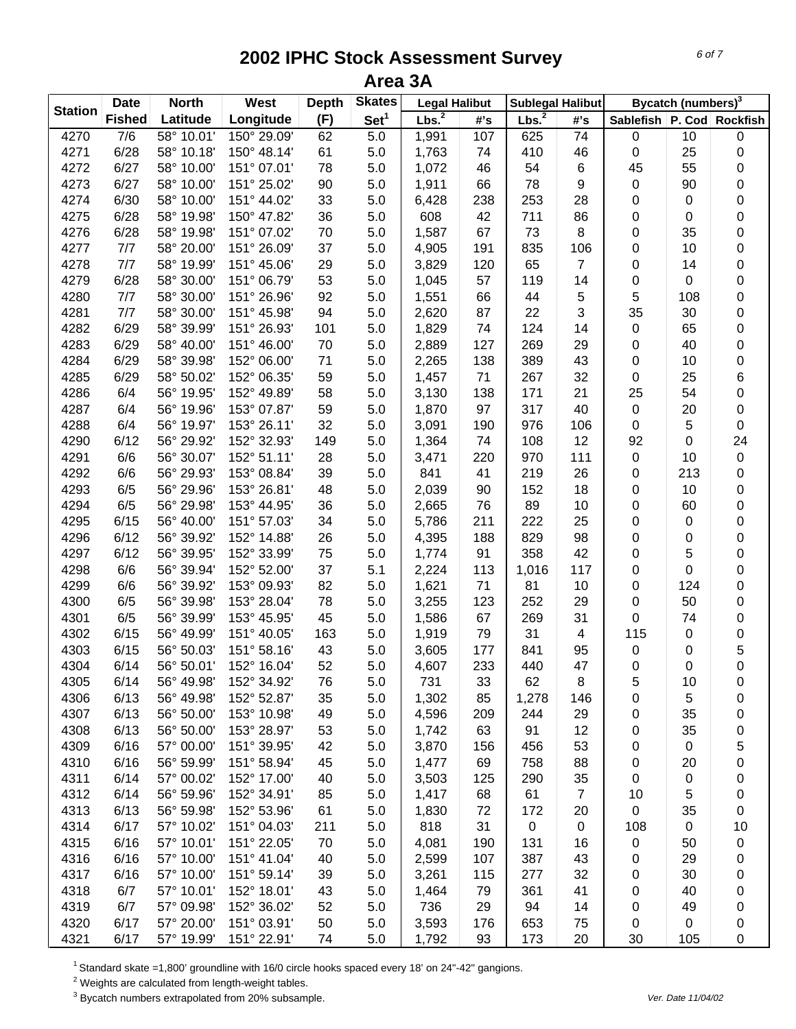| <b>Station</b> | <b>Date</b>   | <b>North</b> | West        | <b>Depth</b> | <b>Skates</b>    | <b>Legal Halibut</b> |          | <b>Sublegal Halibut</b> |                |                               | Bycatch (numbers) <sup>3</sup> |        |
|----------------|---------------|--------------|-------------|--------------|------------------|----------------------|----------|-------------------------|----------------|-------------------------------|--------------------------------|--------|
|                | <b>Fished</b> | Latitude     | Longitude   | (F)          | Set <sup>1</sup> | Lbs. <sup>2</sup>    | #'s      | Lbs. $^2$               | #'s            | Sablefish   P. Cod   Rockfish |                                |        |
| 4270           | 7/6           | 58° 10.01'   | 150° 29.09' | 62           | 5.0              | 1,991                | 107      | 625                     | 74             | $\pmb{0}$                     | 10                             | 0      |
| 4271           | 6/28          | 58° 10.18'   | 150° 48.14' | 61           | 5.0              | 1,763                | 74       | 410                     | 46             | $\pmb{0}$                     | 25                             | 0      |
| 4272           | 6/27          | 58° 10.00'   | 151° 07.01' | 78           | 5.0              | 1,072                | 46       | 54                      | 6              | 45                            | 55                             | 0      |
| 4273           | 6/27          | 58° 10.00'   | 151° 25.02' | 90           | 5.0              | 1,911                | 66       | 78                      | 9              | $\pmb{0}$                     | 90                             | 0      |
| 4274           | 6/30          | 58° 10.00'   | 151° 44.02' | 33           | 5.0              | 6,428                | 238      | 253                     | 28             | 0                             | 0                              | 0      |
| 4275           | 6/28          | 58° 19.98'   | 150° 47.82' | 36           | 5.0              | 608                  | 42       | 711                     | 86             | $\pmb{0}$                     | 0                              | 0      |
| 4276           | 6/28          | 58° 19.98'   | 151° 07.02' | 70           | 5.0              | 1,587                | 67       | 73                      | 8              | $\pmb{0}$                     | 35                             | 0      |
| 4277           | 7/7           | 58° 20.00'   | 151° 26.09' | 37           | 5.0              | 4,905                | 191      | 835                     | 106            | $\pmb{0}$                     | 10                             | 0      |
| 4278           | 7/7           | 58° 19.99'   | 151° 45.06' | 29           | 5.0              | 3,829                | 120      | 65                      | 7              | $\pmb{0}$                     | 14                             | 0      |
| 4279           | 6/28          | 58° 30.00'   | 151° 06.79' | 53           | 5.0              | 1,045                | 57       | 119                     | 14             | $\pmb{0}$                     | 0                              | 0      |
| 4280           | 7/7           | 58° 30.00'   | 151° 26.96' | 92           | 5.0              | 1,551                | 66       | 44                      | 5              | 5                             | 108                            | 0      |
| 4281           | 7/7           | 58° 30.00'   | 151° 45.98' | 94           | 5.0              | 2,620                | 87       | 22                      | 3              | 35                            | 30                             | 0      |
| 4282           | 6/29          | 58° 39.99'   | 151° 26.93' | 101          | 5.0              | 1,829                | 74       | 124                     | 14             | $\pmb{0}$                     | 65                             | 0      |
| 4283           | 6/29          | 58° 40.00'   | 151° 46.00' | 70           | 5.0              | 2,889                | 127      | 269                     | 29             | 0                             | 40                             | 0      |
| 4284           | 6/29          | 58° 39.98'   | 152° 06.00' | 71           | 5.0              | 2,265                | 138      | 389                     | 43             | $\mathbf 0$                   | 10                             | 0      |
| 4285           | 6/29          | 58° 50.02'   | 152° 06.35' | 59           | 5.0              | 1,457                | 71       | 267                     | 32             | $\pmb{0}$                     | 25                             | 6      |
| 4286           | 6/4           | 56° 19.95'   | 152° 49.89' | 58           | 5.0              | 3,130                | 138      | 171                     | 21             | 25                            | 54                             | 0      |
| 4287           | 6/4           | 56° 19.96'   | 153° 07.87' | 59           | 5.0              | 1,870                | 97       | 317                     | 40             | $\pmb{0}$                     | 20                             | 0      |
| 4288           | 6/4           | 56° 19.97'   | 153° 26.11' | 32           | 5.0              | 3,091                | 190      | 976                     | 106            | $\pmb{0}$                     | 5                              | 0      |
| 4290           | 6/12          | 56° 29.92'   | 152° 32.93' | 149          | 5.0              | 1,364                | 74       | 108                     | 12             | 92                            | 0                              | 24     |
| 4291           | 6/6           | 56° 30.07'   | 152° 51.11' | 28           | 5.0              | 3,471                | 220      | 970                     | 111            | $\pmb{0}$                     | 10                             | 0      |
| 4292           | 6/6           | 56° 29.93'   | 153° 08.84' | 39           | 5.0              | 841                  | 41       | 219                     | 26             | $\mathbf 0$                   | 213                            | 0      |
| 4293           | 6/5           | 56° 29.96'   | 153° 26.81' | 48           | 5.0              | 2,039                | 90       | 152                     | 18             | $\pmb{0}$                     | 10                             | 0      |
| 4294           | 6/5           | 56° 29.98'   | 153° 44.95' | 36           | 5.0              | 2,665                | 76       | 89                      | 10             | $\pmb{0}$                     | 60                             | 0      |
| 4295           | 6/15          | 56° 40.00'   | 151° 57.03' | 34           | 5.0              | 5,786                | 211      | 222                     | 25             | $\pmb{0}$                     | 0                              | 0      |
| 4296           | 6/12          | 56° 39.92'   | 152° 14.88' | 26           | 5.0              | 4,395                | 188      | 829                     | 98             | $\mathbf 0$                   | 0                              | 0      |
| 4297           | 6/12          | 56° 39.95'   | 152° 33.99' | 75           | 5.0              | 1,774                | 91       | 358                     | 42             | 0                             | 5                              | 0      |
| 4298           | 6/6           | 56° 39.94'   | 152° 52.00' | 37           | 5.1              | 2,224                | 113      | 1,016                   | 117            | 0                             | 0                              | 0      |
| 4299           | 6/6           | 56° 39.92'   | 153° 09.93' | 82           | 5.0              | 1,621                | 71       | 81                      | 10             | 0                             | 124                            | 0      |
| 4300           | 6/5           | 56° 39.98'   | 153° 28.04' | 78           | 5.0              | 3,255                | 123      | 252                     | 29             | 0                             | 50                             | 0      |
| 4301           | 6/5           | 56° 39.99'   | 153° 45.95' | 45           | 5.0              | 1,586                | 67       | 269                     | 31             | 0                             | 74                             | 0      |
| 4302           | 6/15          | 56° 49.99'   | 151° 40.05' | 163          | 5.0              | 1,919                | 79       | 31                      |                | 115                           |                                |        |
| 4303           | 6/15          | 56° 50.03'   | 151° 58.16' | 43           | 5.0              | 3,605                | 177      | 841                     | 4<br>95        | $\pmb{0}$                     | 0<br>0                         | 0      |
| 4304           | 6/14          | 56° 50.01'   | 152° 16.04' | 52           | 5.0              | 4,607                | 233      | 440                     | 47             | $\pmb{0}$                     | 0                              | 5<br>0 |
| 4305           | 6/14          | 56° 49.98'   | 152° 34.92' |              |                  | 731                  |          | 62                      |                |                               |                                |        |
| 4306           | 6/13          | 56° 49.98'   | 152° 52.87' | 76           | 5.0<br>5.0       |                      | 33<br>85 |                         | 8              | 5                             | 10                             | 0      |
|                | 6/13          | 56° 50.00'   | 153° 10.98' | 35<br>49     | 5.0              | 1,302                |          | 1,278<br>244            | 146            | 0                             | 5                              | 0      |
| 4307           |               | 56° 50.00'   | 153° 28.97' |              |                  | 4,596                | 209      | 91                      | 29<br>12       | 0                             | 35                             | 0      |
| 4308           | 6/13<br>6/16  |              |             | 53           | 5.0              | 1,742                | 63       |                         |                | 0                             | 35                             | 0      |
| 4309           |               | 57° 00.00'   | 151° 39.95' | 42           | 5.0              | 3,870                | 156      | 456                     | 53             | 0                             | $\boldsymbol{0}$               | 5      |
| 4310           | 6/16          | 56° 59.99'   | 151° 58.94' | 45           | 5.0              | 1,477                | 69       | 758                     | 88             | 0                             | 20                             | 0      |
| 4311           | 6/14          | 57° 00.02'   | 152° 17.00' | 40           | 5.0              | 3,503                | 125      | 290                     | 35             | 0                             | 0                              | 0      |
| 4312           | 6/14          | 56° 59.96'   | 152° 34.91' | 85           | 5.0              | 1,417                | 68       | 61                      | $\overline{7}$ | 10                            | 5                              | 0      |
| 4313           | 6/13          | 56° 59.98'   | 152° 53.96' | 61           | 5.0              | 1,830                | 72       | 172                     | 20             | $\mathbf 0$                   | 35                             | 0      |
| 4314           | 6/17          | 57° 10.02'   | 151° 04.03' | 211          | 5.0              | 818                  | 31       | 0                       | 0              | 108                           | $\pmb{0}$                      | 10     |
| 4315           | 6/16          | 57° 10.01'   | 151° 22.05' | 70           | 5.0              | 4,081                | 190      | 131                     | 16             | 0                             | 50                             | 0      |
| 4316           | 6/16          | 57° 10.00'   | 151° 41.04' | 40           | 5.0              | 2,599                | 107      | 387                     | 43             | 0                             | 29                             | 0      |
| 4317           | 6/16          | 57° 10.00'   | 151° 59.14' | 39           | 5.0              | 3,261                | 115      | 277                     | 32             | 0                             | 30                             | 0      |
| 4318           | 6/7           | 57° 10.01'   | 152° 18.01' | 43           | 5.0              | 1,464                | 79       | 361                     | 41             | 0                             | 40                             | 0      |
| 4319           | 6/7           | 57° 09.98'   | 152° 36.02' | 52           | 5.0              | 736                  | 29       | 94                      | 14             | 0                             | 49                             | 0      |
| 4320           | 6/17          | 57° 20.00'   | 151° 03.91' | 50           | 5.0              | 3,593                | 176      | 653                     | 75             | 0                             | 0                              | 0      |
| 4321           | 6/17          | 57° 19.99'   | 151° 22.91' | 74           | 5.0              | 1,792                | 93       | 173                     | 20             | 30                            | 105                            | 0      |

1 Standard skate =1,800' groundline with 16/0 circle hooks spaced every 18' on 24"-42" gangions.

 $2$  Weights are calculated from length-weight tables.